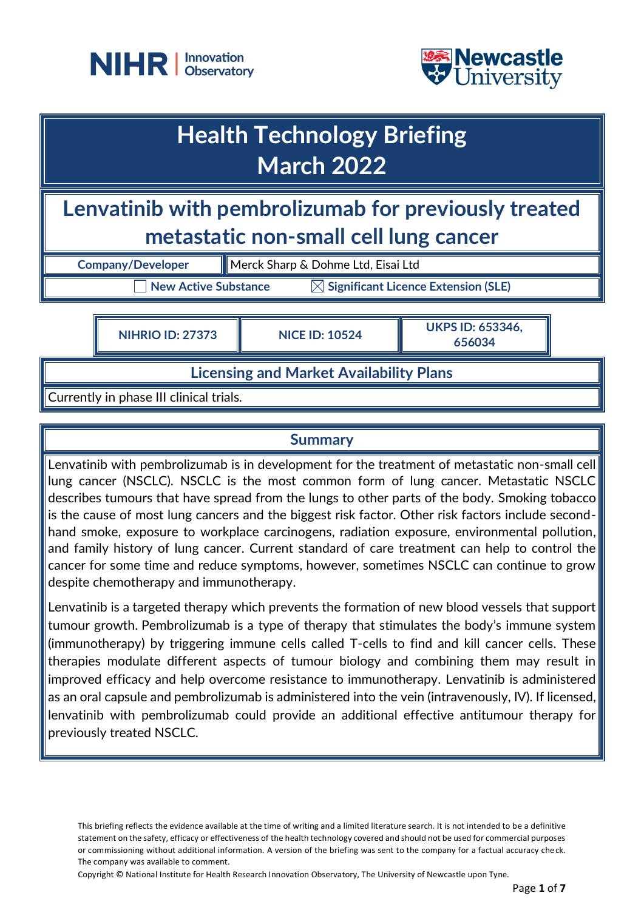



## **Health Technology Briefing March 2022**

**Lenvatinib with pembrolizumab for previously treated metastatic non-small cell lung cancer**

**Company/Developer** Merck Sharp & Dohme Ltd, Eisai Ltd

 $\Box$  New Active Substance  $\qquad \boxtimes$  Significant Licence Extension (SLE)

**NIHRIO ID: <sup>27373</sup> NICE ID: <sup>10524</sup> UKPS ID: 653346, 656034**

## **Licensing and Market Availability Plans**

Currently in phase III clinical trials.

## **Summary**

Lenvatinib with pembrolizumab is in development for the treatment of metastatic non-small cell lung cancer (NSCLC). NSCLC is the most common form of lung cancer. Metastatic NSCLC describes tumours that have spread from the lungs to other parts of the body. Smoking tobacco is the cause of most lung cancers and the biggest risk factor. Other risk factors include secondhand smoke, exposure to workplace carcinogens, radiation exposure, environmental pollution, and family history of lung cancer. Current standard of care treatment can help to control the cancer for some time and reduce symptoms, however, sometimes NSCLC can continue to grow despite chemotherapy and immunotherapy.

Lenvatinib is a targeted therapy which prevents the formation of new blood vessels that support tumour growth. Pembrolizumab is a type of therapy that stimulates the body's immune system (immunotherapy) by triggering immune cells called T-cells to find and kill cancer cells. These therapies modulate different aspects of tumour biology and combining them may result in improved efficacy and help overcome resistance to immunotherapy. Lenvatinib is administered as an oral capsule and pembrolizumab is administered into the vein (intravenously, IV). If licensed, lenvatinib with pembrolizumab could provide an additional effective antitumour therapy for previously treated NSCLC.

Copyright © National Institute for Health Research Innovation Observatory, The University of Newcastle upon Tyne.

This briefing reflects the evidence available at the time of writing and a limited literature search. It is not intended to be a definitive statement on the safety, efficacy or effectiveness of the health technology covered and should not be used for commercial purposes or commissioning without additional information. A version of the briefing was sent to the company for a factual accuracy check. The company was available to comment.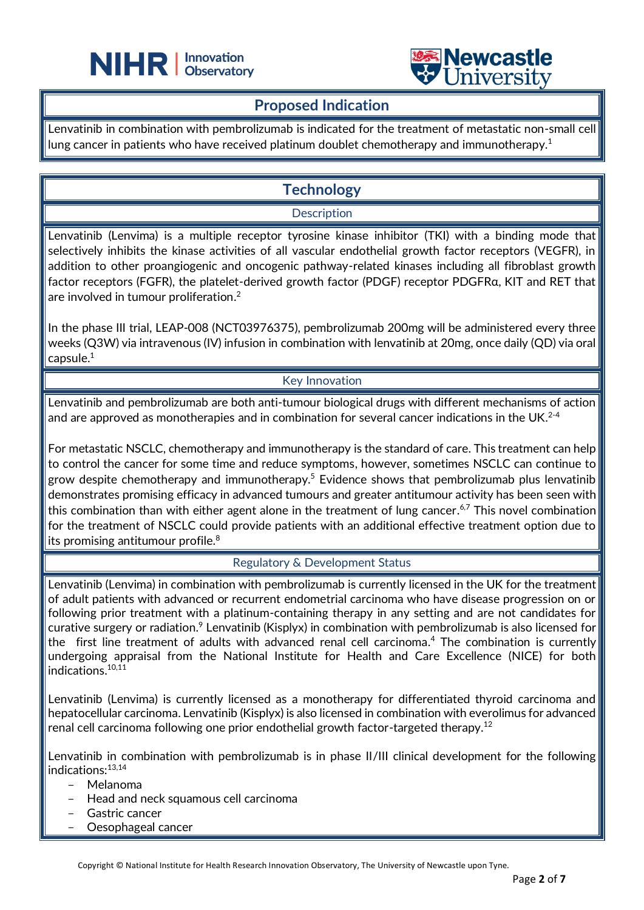



### **Proposed Indication**

 $\overline{a}$ 

Lenvatinib in combination with pembrolizumab is indicated for the treatment of metastatic non-small cell lung cancer in patients who have received platinum doublet chemotherapy and immunotherapy. 1

## **Technology**

#### **Description**

Lenvatinib (Lenvima) is a multiple receptor tyrosine kinase inhibitor (TKI) with a binding mode that selectively inhibits the kinase activities of all vascular endothelial growth factor receptors (VEGFR), in addition to other proangiogenic and oncogenic pathway-related kinases including all fibroblast growth factor receptors (FGFR), the platelet-derived growth factor (PDGF) receptor PDGFRα, KIT and RET that are involved in tumour proliferation. $^2$ 

In the phase III trial, LEAP-008 (NCT03976375), pembrolizumab 200mg will be administered every three weeks (Q3W) via intravenous (IV) infusion in combination with lenvatinib at 20mg, once daily (QD) via oral capsule.<sup>1</sup>

#### Key Innovation

Lenvatinib and pembrolizumab are both anti-tumour biological drugs with different mechanisms of action and are approved as monotherapies and in combination for several cancer indications in the UK. $^{2\text{-}4}$ 

For metastatic NSCLC, chemotherapy and immunotherapy is the standard of care. This treatment can help to control the cancer for some time and reduce symptoms, however, sometimes NSCLC can continue to grow despite chemotherapy and immunotherapy.<sup>5</sup> Evidence shows that pembrolizumab plus lenvatinib demonstrates promising efficacy in advanced tumours and greater antitumour activity has been seen with this combination than with either agent alone in the treatment of lung cancer. $^{6,7}$  This novel combination for the treatment of NSCLC could provide patients with an additional effective treatment option due to its promising antitumour profile.<sup>8</sup>

#### Regulatory & Development Status

Lenvatinib (Lenvima) in combination with pembrolizumab is currently licensed in the UK for the treatment of adult patients with advanced or recurrent endometrial carcinoma who have disease progression on or following prior treatment with a platinum-containing therapy in any setting and are not candidates for curative surgery or radiation.<sup>9</sup> Lenvatinib (Kisplyx) in combination with pembrolizumab is also licensed for the first line treatment of adults with advanced renal cell carcinoma. <sup>4</sup> The combination is currently undergoing appraisal from the National Institute for Health and Care Excellence (NICE) for both indications. 10,11

Lenvatinib (Lenvima) is currently licensed as a monotherapy for differentiated thyroid carcinoma and hepatocellular carcinoma. Lenvatinib (Kisplyx) is also licensed in combination with everolimus for advanced renal cell carcinoma following one prior endothelial growth factor-targeted therapy.<sup>12</sup>

Lenvatinib in combination with pembrolizumab is in phase II/III clinical development for the following indications:13,14

- Melanoma
- Head and neck squamous cell carcinoma
- Gastric cancer
- Oesophageal cancer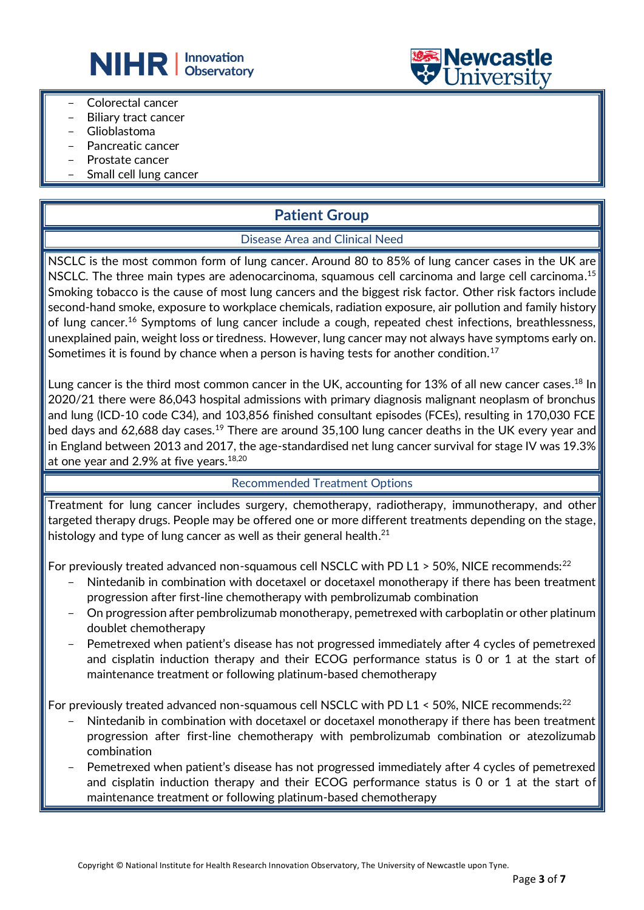



- Colorectal cancer
- Biliary tract cancer
- Glioblastoma
- Pancreatic cancer
- Prostate cancer
- Small cell lung cancer

## **Patient Group**

#### Disease Area and Clinical Need

NSCLC is the most common form of lung cancer. Around 80 to 85% of lung cancer cases in the UK are NSCLC. The three main types are adenocarcinoma, squamous cell carcinoma and large cell carcinoma.<sup>15</sup> Smoking tobacco is the cause of most lung cancers and the biggest risk factor. Other risk factors include second-hand smoke, exposure to workplace chemicals, radiation exposure, air pollution and family history of lung cancer.<sup>16</sup> Symptoms of lung cancer include a cough, repeated chest infections, breathlessness, unexplained pain, weight loss or tiredness. However, lung cancer may not always have symptoms early on. Sometimes it is found by chance when a person is having tests for another condition.<sup>17</sup>

Lung cancer is the third most common cancer in the UK, accounting for 13% of all new cancer cases. <sup>18</sup> In 2020/21 there were 86,043 hospital admissions with primary diagnosis malignant neoplasm of bronchus and lung (ICD-10 code C34), and 103,856 finished consultant episodes (FCEs), resulting in 170,030 FCE bed days and 62,688 day cases.<sup>19</sup> There are around 35,100 lung cancer deaths in the UK every year and in England between 2013 and 2017, the age-standardised net lung cancer survival for stage IV was 19.3% at one year and 2.9% at five years. $^{\rm 18,20}$ 

#### Recommended Treatment Options

Treatment for lung cancer includes surgery, chemotherapy, radiotherapy, immunotherapy, and other targeted therapy drugs. People may be offered one or more different treatments depending on the stage, histology and type of lung cancer as well as their general health. $^{21}$ 

For previously treated advanced non-squamous cell NSCLC with PD L1  $>$  50%, NICE recommends:<sup>22</sup>

- Nintedanib in combination with docetaxel or docetaxel monotherapy if there has been treatment progression after first-line chemotherapy with pembrolizumab combination
- On progression after pembrolizumab monotherapy, pemetrexed with carboplatin or other platinum doublet chemotherapy
- Pemetrexed when patient's disease has not progressed immediately after 4 cycles of pemetrexed and cisplatin induction therapy and their ECOG performance status is 0 or 1 at the start of maintenance treatment or following platinum-based chemotherapy

For previously treated advanced non-squamous cell NSCLC with PD L1 < 50%, NICE recommends:  $^{22}$ 

- Nintedanib in combination with docetaxel or docetaxel monotherapy if there has been treatment progression after first-line chemotherapy with pembrolizumab combination or atezolizumab combination
- Pemetrexed when patient's disease has not progressed immediately after 4 cycles of pemetrexed and cisplatin induction therapy and their ECOG performance status is 0 or 1 at the start of maintenance treatment or following platinum-based chemotherapy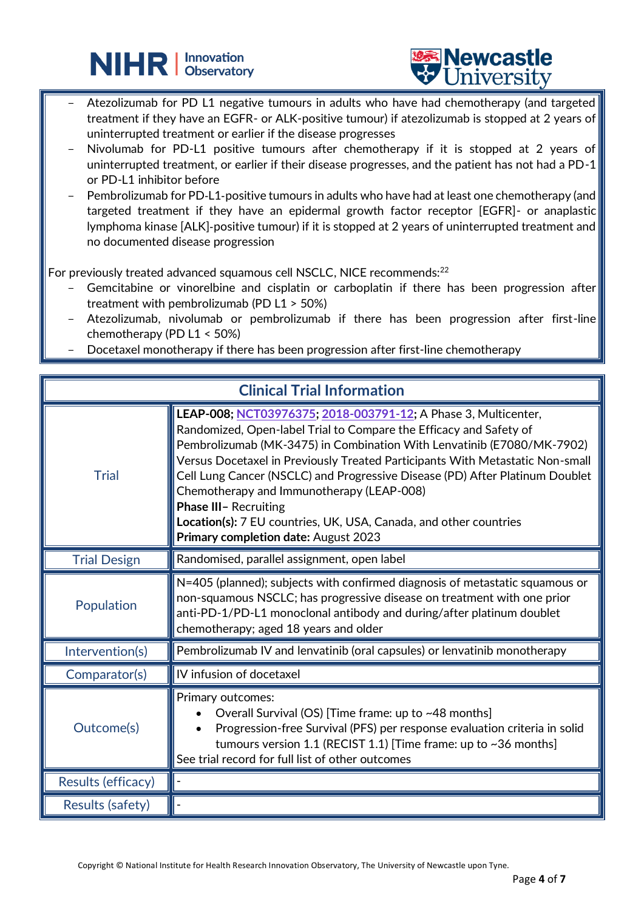



- Atezolizumab for PD L1 negative tumours in adults who have had chemotherapy (and targeted treatment if they have an EGFR- or ALK-positive tumour) if atezolizumab is stopped at 2 years of uninterrupted treatment or earlier if the disease progresses
- Nivolumab for PD-L1 positive tumours after chemotherapy if it is stopped at 2 years of uninterrupted treatment, or earlier if their disease progresses, and the patient has not had a PD-1 or PD-L1 inhibitor before
- Pembrolizumab for PD-L1-positive tumours in adults who have had at least one chemotherapy (and targeted treatment if they have an epidermal growth factor receptor [EGFR]- or anaplastic lymphoma kinase [ALK]‑positive tumour) if it is stopped at 2 years of uninterrupted treatment and no documented disease progression

For previously treated advanced squamous cell NSCLC, NICE recommends:<sup>22</sup>

 $\overline{a}$ 

- Gemcitabine or vinorelbine and cisplatin or carboplatin if there has been progression after treatment with pembrolizumab (PD L1 > 50%)
- Atezolizumab, nivolumab or pembrolizumab if there has been progression after first-line chemotherapy (PD L1 < 50%)
- Docetaxel monotherapy if there has been progression after first-line chemotherapy

| <b>Clinical Trial Information</b> |                                                                                                                                                                                                                                                                                                                                                                                                                                                                                                                                                                                  |
|-----------------------------------|----------------------------------------------------------------------------------------------------------------------------------------------------------------------------------------------------------------------------------------------------------------------------------------------------------------------------------------------------------------------------------------------------------------------------------------------------------------------------------------------------------------------------------------------------------------------------------|
| <b>Trial</b>                      | LEAP-008; NCT03976375; 2018-003791-12; A Phase 3, Multicenter,<br>Randomized, Open-label Trial to Compare the Efficacy and Safety of<br>Pembrolizumab (MK-3475) in Combination With Lenvatinib (E7080/MK-7902)<br>Versus Docetaxel in Previously Treated Participants With Metastatic Non-small<br>Cell Lung Cancer (NSCLC) and Progressive Disease (PD) After Platinum Doublet<br>Chemotherapy and Immunotherapy (LEAP-008)<br><b>Phase III- Recruiting</b><br><b>Location(s):</b> 7 EU countries, UK, USA, Canada, and other countries<br>Primary completion date: August 2023 |
| <b>Trial Design</b>               | Randomised, parallel assignment, open label                                                                                                                                                                                                                                                                                                                                                                                                                                                                                                                                      |
| Population                        | N=405 (planned); subjects with confirmed diagnosis of metastatic squamous or<br>non-squamous NSCLC; has progressive disease on treatment with one prior<br>anti-PD-1/PD-L1 monoclonal antibody and during/after platinum doublet<br>chemotherapy; aged 18 years and older                                                                                                                                                                                                                                                                                                        |
| Intervention(s)                   | Pembrolizumab IV and lenvatinib (oral capsules) or lenvatinib monotherapy                                                                                                                                                                                                                                                                                                                                                                                                                                                                                                        |
| Comparator(s)                     | IV infusion of docetaxel                                                                                                                                                                                                                                                                                                                                                                                                                                                                                                                                                         |
| Outcome(s)                        | Primary outcomes:<br>Overall Survival (OS) [Time frame: up to ~48 months]<br>Progression-free Survival (PFS) per response evaluation criteria in solid<br>tumours version 1.1 (RECIST 1.1) [Time frame: up to ~36 months]<br>See trial record for full list of other outcomes                                                                                                                                                                                                                                                                                                    |
| Results (efficacy)                |                                                                                                                                                                                                                                                                                                                                                                                                                                                                                                                                                                                  |
| Results (safety)                  |                                                                                                                                                                                                                                                                                                                                                                                                                                                                                                                                                                                  |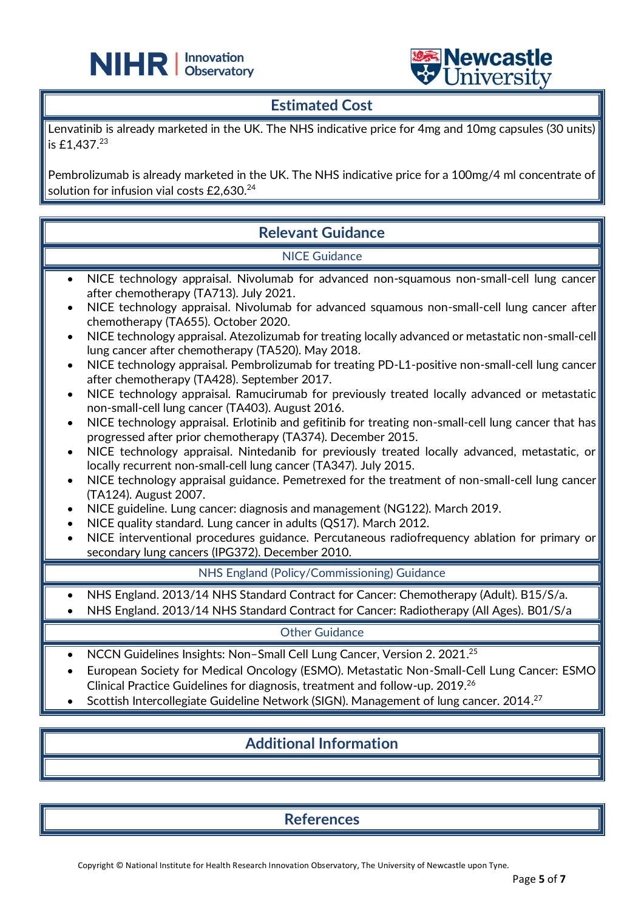



## **Estimated Cost**

 $\overline{a}$ 

Lenvatinib is already marketed in the UK. The NHS indicative price for 4mg and 10mg capsules (30 units) is £1,437.<sup>23</sup>

Pembrolizumab is already marketed in the UK. The NHS indicative price for a 100mg/4 ml concentrate of solution for infusion vial costs £2,630. 24

| <b>Relevant Guidance</b>                                                                                                                                                                                                                                                                                                                                                                                                                                                                                                                                                                                                                                                                                                                                                                                                                                                                                                                                                                                                                                                                                                                                                                                                                                                                                                                                                                                                                                                                                                                             |  |  |
|------------------------------------------------------------------------------------------------------------------------------------------------------------------------------------------------------------------------------------------------------------------------------------------------------------------------------------------------------------------------------------------------------------------------------------------------------------------------------------------------------------------------------------------------------------------------------------------------------------------------------------------------------------------------------------------------------------------------------------------------------------------------------------------------------------------------------------------------------------------------------------------------------------------------------------------------------------------------------------------------------------------------------------------------------------------------------------------------------------------------------------------------------------------------------------------------------------------------------------------------------------------------------------------------------------------------------------------------------------------------------------------------------------------------------------------------------------------------------------------------------------------------------------------------------|--|--|
| <b>NICE Guidance</b>                                                                                                                                                                                                                                                                                                                                                                                                                                                                                                                                                                                                                                                                                                                                                                                                                                                                                                                                                                                                                                                                                                                                                                                                                                                                                                                                                                                                                                                                                                                                 |  |  |
| NICE technology appraisal. Nivolumab for advanced non-squamous non-small-cell lung cancer<br>$\bullet$<br>after chemotherapy (TA713). July 2021.<br>NICE technology appraisal. Nivolumab for advanced squamous non-small-cell lung cancer after<br>chemotherapy (TA655). October 2020.<br>NICE technology appraisal. Atezolizumab for treating locally advanced or metastatic non-small-cell<br>lung cancer after chemotherapy (TA520). May 2018.<br>NICE technology appraisal. Pembrolizumab for treating PD-L1-positive non-small-cell lung cancer<br>$\bullet$<br>after chemotherapy (TA428). September 2017.<br>NICE technology appraisal. Ramucirumab for previously treated locally advanced or metastatic<br>٠<br>non-small-cell lung cancer (TA403). August 2016.<br>NICE technology appraisal. Erlotinib and gefitinib for treating non-small-cell lung cancer that has<br>progressed after prior chemotherapy (TA374). December 2015.<br>NICE technology appraisal. Nintedanib for previously treated locally advanced, metastatic, or<br>locally recurrent non-small-cell lung cancer (TA347). July 2015.<br>NICE technology appraisal guidance. Pemetrexed for the treatment of non-small-cell lung cancer<br>(TA124). August 2007.<br>NICE guideline. Lung cancer: diagnosis and management (NG122). March 2019.<br>NICE quality standard. Lung cancer in adults (QS17). March 2012.<br>NICE interventional procedures guidance. Percutaneous radiofrequency ablation for primary or<br>secondary lung cancers (IPG372). December 2010. |  |  |
| NHS England (Policy/Commissioning) Guidance                                                                                                                                                                                                                                                                                                                                                                                                                                                                                                                                                                                                                                                                                                                                                                                                                                                                                                                                                                                                                                                                                                                                                                                                                                                                                                                                                                                                                                                                                                          |  |  |
| NHS England. 2013/14 NHS Standard Contract for Cancer: Chemotherapy (Adult). B15/S/a.<br>NHS England. 2013/14 NHS Standard Contract for Cancer: Radiotherapy (All Ages). B01/S/a                                                                                                                                                                                                                                                                                                                                                                                                                                                                                                                                                                                                                                                                                                                                                                                                                                                                                                                                                                                                                                                                                                                                                                                                                                                                                                                                                                     |  |  |
| <b>Other Guidance</b>                                                                                                                                                                                                                                                                                                                                                                                                                                                                                                                                                                                                                                                                                                                                                                                                                                                                                                                                                                                                                                                                                                                                                                                                                                                                                                                                                                                                                                                                                                                                |  |  |
| NCCN Guidelines Insights: Non-Small Cell Lung Cancer, Version 2. 2021. <sup>25</sup><br>$\bullet$<br>European Society for Medical Oncology (ESMO). Metastatic Non-Small-Cell Lung Cancer: ESMO<br>Clinical Practice Guidelines for diagnosis, treatment and follow-up. 2019. <sup>26</sup><br>Scottish Intercollegiate Guideline Network (SIGN). Management of lung cancer. 2014. <sup>27</sup>                                                                                                                                                                                                                                                                                                                                                                                                                                                                                                                                                                                                                                                                                                                                                                                                                                                                                                                                                                                                                                                                                                                                                      |  |  |
| <b>Additional Information</b>                                                                                                                                                                                                                                                                                                                                                                                                                                                                                                                                                                                                                                                                                                                                                                                                                                                                                                                                                                                                                                                                                                                                                                                                                                                                                                                                                                                                                                                                                                                        |  |  |

**References**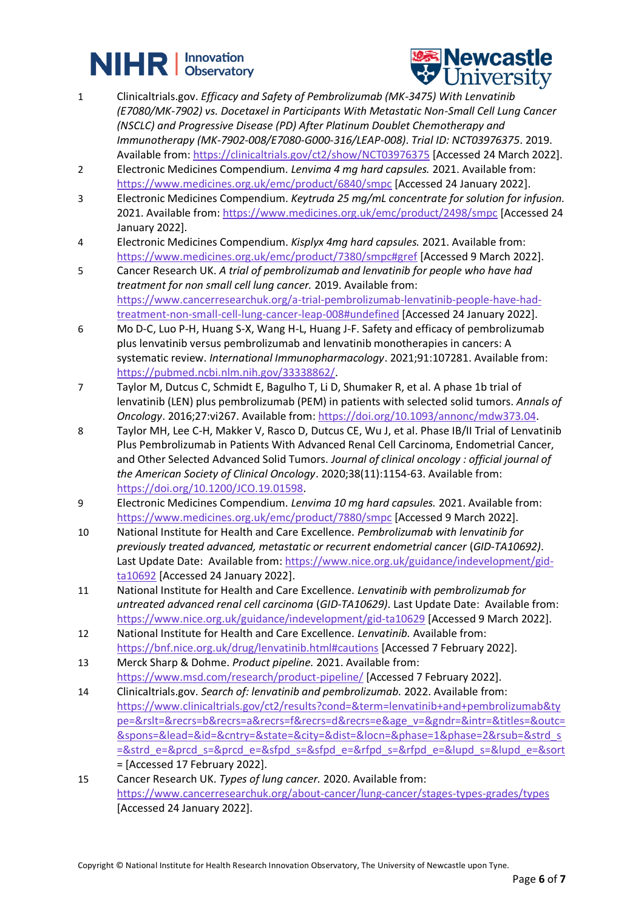# **NIHR** | Innovation



- 1 Clinicaltrials.gov. *Efficacy and Safety of Pembrolizumab (MK-3475) With Lenvatinib (E7080/MK-7902) vs. Docetaxel in Participants With Metastatic Non-Small Cell Lung Cancer (NSCLC) and Progressive Disease (PD) After Platinum Doublet Chemotherapy and Immunotherapy (MK-7902-008/E7080-G000-316/LEAP-008)*. *Trial ID: NCT03976375*. 2019. Available from[: https://clinicaltrials.gov/ct2/show/NCT03976375](https://clinicaltrials.gov/ct2/show/NCT03976375) [Accessed 24 March 2022].
- 2 Electronic Medicines Compendium. *Lenvima 4 mg hard capsules.* 2021. Available from: <https://www.medicines.org.uk/emc/product/6840/smpc> [Accessed 24 January 2022].
- 3 Electronic Medicines Compendium. *Keytruda 25 mg/mL concentrate for solution for infusion.* 2021. Available from:<https://www.medicines.org.uk/emc/product/2498/smpc> [Accessed 24 January 2022].
- 4 Electronic Medicines Compendium. *Kisplyx 4mg hard capsules.* 2021. Available from: <https://www.medicines.org.uk/emc/product/7380/smpc#gref> [Accessed 9 March 2022].
- 5 Cancer Research UK. *A trial of pembrolizumab and lenvatinib for people who have had treatment for non small cell lung cancer.* 2019. Available from: [https://www.cancerresearchuk.org/a-trial-pembrolizumab-lenvatinib-people-have-had](https://www.cancerresearchuk.org/a-trial-pembrolizumab-lenvatinib-people-have-had-treatment-non-small-cell-lung-cancer-leap-008#undefined)[treatment-non-small-cell-lung-cancer-leap-008#undefined](https://www.cancerresearchuk.org/a-trial-pembrolizumab-lenvatinib-people-have-had-treatment-non-small-cell-lung-cancer-leap-008#undefined) [Accessed 24 January 2022].
- 6 Mo D-C, Luo P-H, Huang S-X, Wang H-L, Huang J-F. Safety and efficacy of pembrolizumab plus lenvatinib versus pembrolizumab and lenvatinib monotherapies in cancers: A systematic review. *International Immunopharmacology*. 2021;91:107281. Available from: [https://pubmed.ncbi.nlm.nih.gov/33338862/.](https://pubmed.ncbi.nlm.nih.gov/33338862/)
- 7 Taylor M, Dutcus C, Schmidt E, Bagulho T, Li D, Shumaker R, et al. A phase 1b trial of lenvatinib (LEN) plus pembrolizumab (PEM) in patients with selected solid tumors. *Annals of Oncology*. 2016;27:vi267. Available from: [https://doi.org/10.1093/annonc/mdw373.04.](https://doi.org/10.1093/annonc/mdw373.04)
- 8 Taylor MH, Lee C-H, Makker V, Rasco D, Dutcus CE, Wu J, et al. Phase IB/II Trial of Lenvatinib Plus Pembrolizumab in Patients With Advanced Renal Cell Carcinoma, Endometrial Cancer, and Other Selected Advanced Solid Tumors. *Journal of clinical oncology : official journal of the American Society of Clinical Oncology*. 2020;38(11):1154-63. Available from: [https://doi.org/10.1200/JCO.19.01598.](https://doi.org/10.1200/JCO.19.01598)
- 9 Electronic Medicines Compendium. *Lenvima 10 mg hard capsules.* 2021. Available from: <https://www.medicines.org.uk/emc/product/7880/smpc> [Accessed 9 March 2022].
- 10 National Institute for Health and Care Excellence. *Pembrolizumab with lenvatinib for previously treated advanced, metastatic or recurrent endometrial cancer* (*GID-TA10692)*. Last Update Date: Available from[: https://www.nice.org.uk/guidance/indevelopment/gid](https://www.nice.org.uk/guidance/indevelopment/gid-ta10692)[ta10692](https://www.nice.org.uk/guidance/indevelopment/gid-ta10692) [Accessed 24 January 2022].
- 11 National Institute for Health and Care Excellence. *Lenvatinib with pembrolizumab for untreated advanced renal cell carcinoma* (*GID-TA10629)*. Last Update Date: Available from: <https://www.nice.org.uk/guidance/indevelopment/gid-ta10629> [Accessed 9 March 2022].
- 12 National Institute for Health and Care Excellence. *Lenvatinib.* Available from: <https://bnf.nice.org.uk/drug/lenvatinib.html#cautions> [Accessed 7 February 2022].
- 13 Merck Sharp & Dohme. *Product pipeline.* 2021. Available from: <https://www.msd.com/research/product-pipeline/> [Accessed 7 February 2022].
- 14 Clinicaltrials.gov. *Search of: lenvatinib and pembrolizumab.* 2022. Available from: [https://www.clinicaltrials.gov/ct2/results?cond=&term=lenvatinib+and+pembrolizumab&ty](https://www.clinicaltrials.gov/ct2/results?cond=&term=lenvatinib+and+pembrolizumab&type=&rslt=&recrs=b&recrs=a&recrs=f&recrs=d&recrs=e&age_v=&gndr=&intr=&titles=&outc=&spons=&lead=&id=&cntry=&state=&city=&dist=&locn=&phase=1&phase=2&rsub=&strd_s=&strd_e=&prcd_s=&prcd_e=&sfpd_s=&sfpd_e=&rfpd_s=&rfpd_e=&lupd_s=&lupd_e=&sort) [pe=&rslt=&recrs=b&recrs=a&recrs=f&recrs=d&recrs=e&age\\_v=&gndr=&intr=&titles=&outc=](https://www.clinicaltrials.gov/ct2/results?cond=&term=lenvatinib+and+pembrolizumab&type=&rslt=&recrs=b&recrs=a&recrs=f&recrs=d&recrs=e&age_v=&gndr=&intr=&titles=&outc=&spons=&lead=&id=&cntry=&state=&city=&dist=&locn=&phase=1&phase=2&rsub=&strd_s=&strd_e=&prcd_s=&prcd_e=&sfpd_s=&sfpd_e=&rfpd_s=&rfpd_e=&lupd_s=&lupd_e=&sort) [&spons=&lead=&id=&cntry=&state=&city=&dist=&locn=&phase=1&phase=2&rsub=&strd\\_s](https://www.clinicaltrials.gov/ct2/results?cond=&term=lenvatinib+and+pembrolizumab&type=&rslt=&recrs=b&recrs=a&recrs=f&recrs=d&recrs=e&age_v=&gndr=&intr=&titles=&outc=&spons=&lead=&id=&cntry=&state=&city=&dist=&locn=&phase=1&phase=2&rsub=&strd_s=&strd_e=&prcd_s=&prcd_e=&sfpd_s=&sfpd_e=&rfpd_s=&rfpd_e=&lupd_s=&lupd_e=&sort) [=&strd\\_e=&prcd\\_s=&prcd\\_e=&sfpd\\_s=&sfpd\\_e=&rfpd\\_s=&rfpd\\_e=&lupd\\_s=&lupd\\_e=&sort](https://www.clinicaltrials.gov/ct2/results?cond=&term=lenvatinib+and+pembrolizumab&type=&rslt=&recrs=b&recrs=a&recrs=f&recrs=d&recrs=e&age_v=&gndr=&intr=&titles=&outc=&spons=&lead=&id=&cntry=&state=&city=&dist=&locn=&phase=1&phase=2&rsub=&strd_s=&strd_e=&prcd_s=&prcd_e=&sfpd_s=&sfpd_e=&rfpd_s=&rfpd_e=&lupd_s=&lupd_e=&sort) = [Accessed 17 February 2022].
- 15 Cancer Research UK. *Types of lung cancer.* 2020. Available from: <https://www.cancerresearchuk.org/about-cancer/lung-cancer/stages-types-grades/types> [Accessed 24 January 2022].